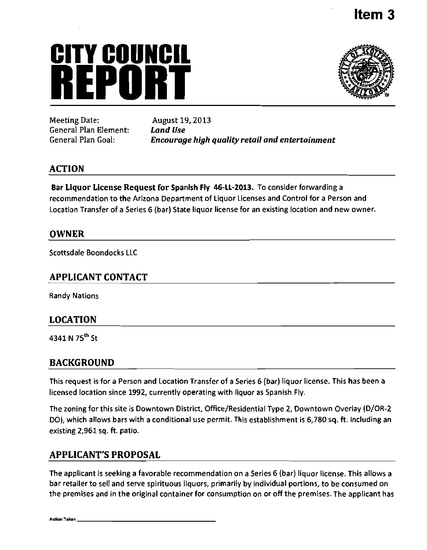# **CITY COUNCIl REPURPEDENTER**



Meeting Date: August 19, 2013 *General Plan Element: Land Use* 

*Encourage high quality retail and entertainment* 

## **ACTION**

Bar Liquor License Request for Spanish Fly 46-LL-2013. To consider forwarding a recommendation to the Arizona Department of Liquor Licenses and Control for a Person and Location Transfer of a Series 6 (bar) State liquor license for an existing location and new owner.

### **OWNER**

Scottsdale Boondocks LLC

### **APPLICANT CONTACT**

Randy Nations

## **LOCATION**

4341 N 75<sup>th</sup> St

## **BACKGROUND**

This request is for a Person and Location Transfer of a Series 6 (bar) liquor license. This has been a licensed location since 1992, currently operating with liquor as Spanish Fly,

The zoning for this site is Downtown District, Office/Residential Type 2, Downtown Overlay (D/OR-2 DO), which allows bars with a conditional use permit. This establishment is 6,780 sq. ft. including an existing 2,961 sq. ft. patio.

## **APPLICANT'S PROPOSAL**

The applicant is seeking a favorable recommendation on a Series 6 (bar) liquor license. This allows a bar retailer to sell and serve spirituous liquors, primarily by individual portions, to be consumed on the premises and in the original container for consumption on or off the premises. The applicant has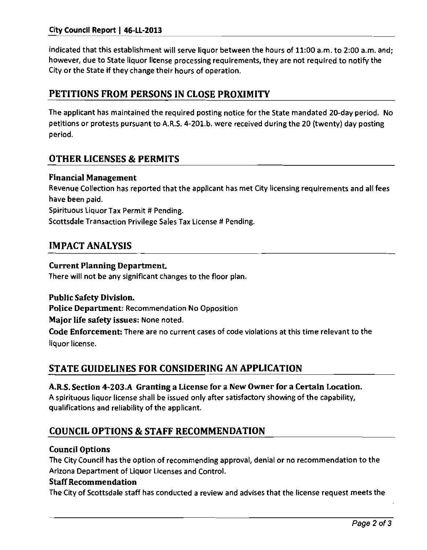indicated that this establishment will serve liquor between the hours of 11:00 a.m. to 2:00 a.m. and; however, due to State liquor license processing requirements, they are not required to notify the City or the State if they change their hours of operation.

## **PETITIONS FROM PERSONS IN CLOSE PROXIMITY**

The applicant has maintained the required posting notice for the State mandated 20-day period. No petitions or protests pursuant to A.R.S. 4-201.b. were received during the 20 (twenty) day posting period.

## **OTHER LICENSES & PERMITS**

#### **Financial Management**

Revenue Collection has reported that the applicant has met City licensing requirements and all fees have been paid. Spirituous Liquor Tax Permit # Pending.

Scottsdale Transaction Privilege Sales Tax License # Pending.

## **IMPACT ANALYSIS**

#### **Current Planning Department.**

There will not be any significant changes to the floor plan.

#### **Public Safety Division.**

**Police Department: Recommendation No Opposition** 

**Major life safety issues: None noted.** 

Code Enforcement: There are no current cases of code violations at this time relevant to the liquor license.

## **STATE GUIDELINES FOR CONSIDERING AN APPLICATION**

#### **A,R.S. Section 4-203.A Granting a License for a New Owner for a Certain Location.**

A spirituous liquor license shall be issued only after satisfactory showing of the capability, qualifications and reliability of the applicant.

## **COUNCIL OPTIONS & STAFF RECOMMENDATION**

#### **Council Options**

**The City Council has the option of recommending approval, denial or no recommendation to the Arizona Department of Liquor Licenses and Control.** 

#### **Staff Recommendation**

The City of Scottsdale staff has conducted a review and advises that the license request meets the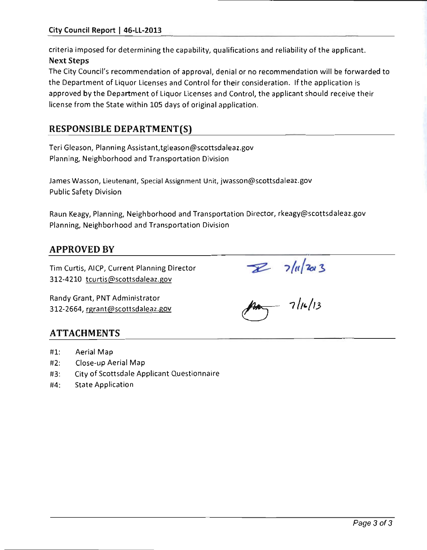criteria imposed for determining the capability, qualifications and reliability of the applicant. Next Steps

The City Council's recommendation of approval; denial or no recommendation will be forwarded to the Department of Liquor Licenses and Control for their consideration. If the application is approved by the Department of Liquor Licenses and Control, the applicant should receive their license from the State within 105 days of original application.

## **RESPONSIBLE DEPARTMENT(S)**

Teri Gleason, Planning Assistant,tgleason@scottsdaleaz.gov Planning, Neighborhood and Transportation Division

James Wasson, Lieutenant, Special Assignment Unit, jwasson@scottsdaleaz.gov Public Safety Division

Raun Keagy, Planning, Neighborhood and Transportation Director, rkeagy@scottsdaleaz.gov Planning, Neighborhood and Transportation Division

## **APPROVED BY**

Tim Curtis, AlCP, Current Planning Director 312-4210 tcurtis@scottsdaleaz.gov

Randy Grant, PNT Administrator 312-2664, rgrant@scottsdaleaz.gov

 $7/4/203$ <br> $\mu$ 

## **ATTACHMENTS**

- **#1**  Aerial Map
- **#2**  Close-up Aerial Map
- **#3**  City of Scottsdale Applicant Questionnaire
- **#4**  State Application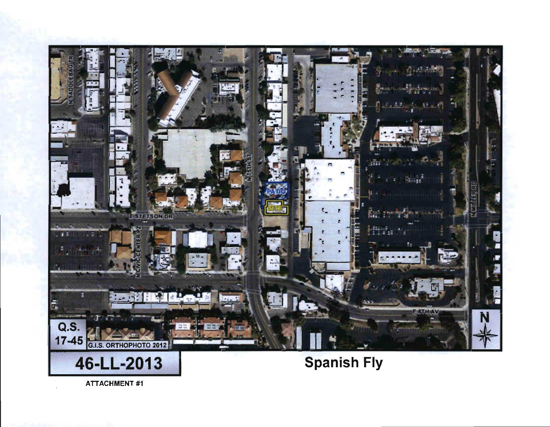

**ATTACHMENT #1**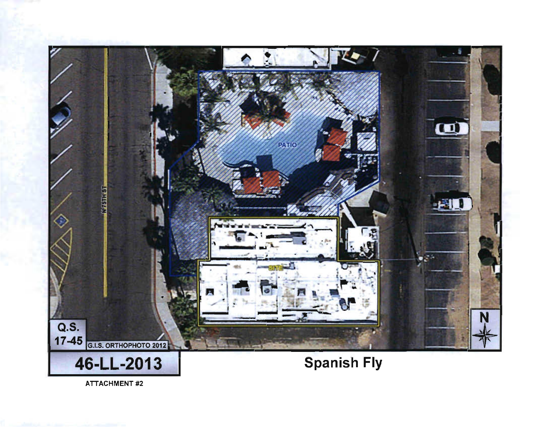

**ATTACHMENT #2**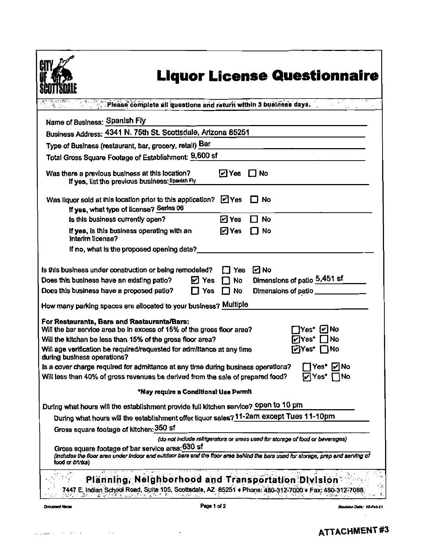|                                                                                                                                                                                    | Please complete all questions and return within 3 business days.                         |
|------------------------------------------------------------------------------------------------------------------------------------------------------------------------------------|------------------------------------------------------------------------------------------|
|                                                                                                                                                                                    |                                                                                          |
| Name of Business: Spanish Fly                                                                                                                                                      |                                                                                          |
| Business Address: 4341 N. 75th St. Scottsdale, Arizona 85251                                                                                                                       |                                                                                          |
| Type of Business (restaurant, bar, grocery, retail) Bar                                                                                                                            |                                                                                          |
| Total Gross Square Footage of Establishment: 9,600 sf                                                                                                                              |                                                                                          |
| Was there a previous business at this location?<br>If yes, list the previous business: Spanish Fly                                                                                 | ⊡Yes<br>$\Box$ No                                                                        |
| Was liquor sold at this location prior to this application? [2] Yes<br>If yes, what type of license? Series 06                                                                     | No                                                                                       |
| Is this business currently open?                                                                                                                                                   | ⊡ Yes<br>No<br>- 1                                                                       |
| If yes, is this business operating with an<br>Interim license?                                                                                                                     | $\Box$ Yes<br>No                                                                         |
| If no, what is the proposed opening date?                                                                                                                                          |                                                                                          |
| ☑ Yes<br>Does this business have an existing patio?<br>Does this business have a proposed patio?<br>$\Box$ Yes<br>How many parking spaces are allocated to your business? Multiple | Dimensions of patio 5,451 sf<br>No<br>1 L<br>No<br>Dimensions of patio<br>$\blacksquare$ |
| For Restaurants, Bars and Rastaurants/Bars:<br>Will the bar service area be in excess of 15% of the gross floor area?                                                              | No<br>Yes"<br>וענ                                                                        |
| Will the kitchen be less than 15% of the gross floor area?<br>Will age verification be required/requested for admittance at any time<br>during business operations?                | No<br>'Yes<br>No<br>Yes.                                                                 |
| is a cover charge required for admittance at any time during business operations?<br>Will less than 40% of gross revenues be derived from the sale of prepared food?               | Ir∐No<br>Yes"<br>N٥<br>Yes                                                               |
| *May require a Conditional Use Permit                                                                                                                                              |                                                                                          |
| During what hours will the establishment provide full kitchen service? Open to 10 pm                                                                                               |                                                                                          |
| During what hours will the establishment offer liquor sales? 11-2am except Tues 11-10pm                                                                                            |                                                                                          |
|                                                                                                                                                                                    |                                                                                          |
| Gross square footage of kitchen: 350 sf                                                                                                                                            | (do not include refrigerators or areas used for storage of food or beverages)            |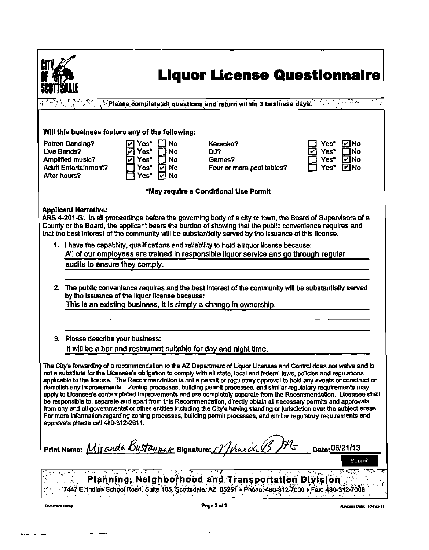

## **Liquor License Questionnaire**

 $^\circ$  . Please complete all questions and return within 3 business days.

#### Will this business feature any of the following:

Patron Dancing? Uve Bands? Amplified music? Adutt Entertainment? After hours?



| Karaoke?                  |
|---------------------------|
| DJ?                       |
| Games?                    |
| Four or more pool tables? |
|                           |

'May require a Conditional Use Permit

#### **Applicant Narrative:**

ARS 4-201-G: In all proceedings before the goveming body of a city or town, the Board of Supervisors of a County or the Board, the applicant bears the burden of showing that the public convenience requires and that the best interest of the community will be substantially served by the Issuance of this license.

- 1. I have the capability, qualifications and reliability to hold a liquor license because: All of our employees are trained In responsible liquor service and go through regular audits to ensure they comply.
- 2. The public convenience requires and the best interest of the community will be substantially served by the Issuance of the liquor license because:

This is an existing business, it is simply a change in ownership.

3. Please describe your business:

it will be a bar and restaurant suitable for day and night time.

The City's forwarding of a recommendation to the AZ Department of Liquor Licenses and Control does not waive and is not a substitute for the Licensee's obligation to comply with all state, local and federal taws, policies and regulations applicable to the license. The Recommendation is not a permit or regulatory approval to hold any events or construct or demolish any Improvements. Zoning processes, building permit processes, and similar regulatory requirements may apply to Licensee's contamplated Improvements and are completely separate from the Recommendation. Licensee shall be responsible to, separate and apart from this Recommendation, directly obtain all necessary permits and approvals from any and all governmental or other entities including the City's having standing or jurisdiction over the subject areas.<br>For more information regarding zoning processes, building permit processes, and similar regulator approvals ptease call 480-312-2611.

Print Name:  $M$ *jr and a Bustannelle* Signature:  $M$ hand  $B$ <sup>14</sup>  $\rightarrow$  Date:06/21/13

Planning, Neighborhood and Transportation Division 7447 E: Indian School Road; Suite 105, Scottsdale, AZ 85251 • Phone: 480-312-7000 • Fax: 480-312-7088

Ravision Dato: 10-Feb-11

Submit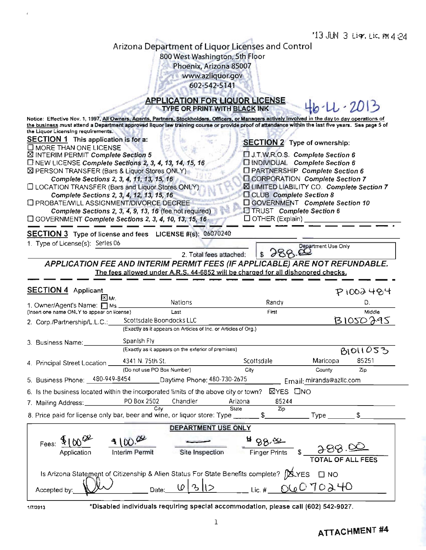$\overline{N}$ 

 $\mathbf{A}$ 

## Arizona Department of Liquor Licenses and Control 800 West Washington, 5th Floor

Phoenix, Arizona 85007 www.azliquor.gov

/ 602-542-5141

## APPLICATION FOR LIQUOR LICENSE

|                                                                                                                                                                                          |                            | TYPE OR PRINT WITH BLACK INK                                                     |                                     |                                                                                               |                   |
|------------------------------------------------------------------------------------------------------------------------------------------------------------------------------------------|----------------------------|----------------------------------------------------------------------------------|-------------------------------------|-----------------------------------------------------------------------------------------------|-------------------|
| Notice: Effective Nov. 1, 1997, All Owners, Agents, Partners, Stockholders, Officers, or Managers actively involved in the day to day operations of                                      |                            |                                                                                  |                                     |                                                                                               |                   |
| the business must attend a Department approved liquor law training course or provide proof of attendance within the last five years. See page 5 of<br>the Liquor Licensing requirements. |                            |                                                                                  |                                     |                                                                                               |                   |
| <b>SECTION 1</b> This application is for a:                                                                                                                                              |                            |                                                                                  |                                     |                                                                                               |                   |
| $\square$ MORE THAN ONE LICENSE                                                                                                                                                          |                            |                                                                                  | <b>SECTION 2</b> Type of ownership: |                                                                                               |                   |
| ⊠ INTERIM PERMIT Complete Section 5                                                                                                                                                      |                            |                                                                                  |                                     | U.T.W.R.O.S. Complete Section 6                                                               |                   |
| $\square$ NEW LICENSE Complete Sections 2, 3, 4, 13, 14, 15, 16                                                                                                                          |                            |                                                                                  |                                     | □ INDIVIDUAL Complete Section 6                                                               |                   |
| ⊠ PERSON TRANSFER (Bars & Liquor Stores ONLY)                                                                                                                                            |                            |                                                                                  |                                     | □ PARTNERSHIP Complete Section 6                                                              |                   |
| Complete Sections 2, 3, 4, 11, 13, 15, 16<br><b>ILOCATION TRANSFER (Bars and Liquor Stores ONLY)</b>                                                                                     |                            |                                                                                  |                                     | <b>EI CORPORATION Complete Section 7</b><br><b>X LIMITED LIABILITY CO. Complete Section 7</b> |                   |
| Complete Sections 2, 3, 4, 12, 13, 15, 16                                                                                                                                                |                            |                                                                                  |                                     | CLUB Complete Section 8                                                                       |                   |
| <b>I PROBATE/WILL ASSIGNMENT/DIVORCE DECREE</b>                                                                                                                                          |                            |                                                                                  |                                     | □ GOVERNMENT Complete Section 10                                                              |                   |
| Complete Sections 2, 3, 4, 9, 13, 16 (fee not required)                                                                                                                                  |                            |                                                                                  |                                     | TRUST Complete Section 6                                                                      |                   |
| C GOVERNMENT Complete Sections 2, 3, 4, 10, 13, 15, 16                                                                                                                                   |                            |                                                                                  |                                     | $\Box$ OTHER (Explain)                                                                        |                   |
| SECTION 3 Type of license and fees LICENSE #(s): 06070240                                                                                                                                |                            |                                                                                  |                                     |                                                                                               |                   |
| 1. Type of License(s): Serles 06                                                                                                                                                         |                            |                                                                                  |                                     |                                                                                               |                   |
|                                                                                                                                                                                          |                            |                                                                                  |                                     | Department Use Only<br>888.8                                                                  |                   |
|                                                                                                                                                                                          |                            | 2. Total fees attached:                                                          |                                     |                                                                                               |                   |
| APPLICATION FEE AND INTERIM PERMIT FEES (IF APPLICABLE) ARE NOT REFUNDABLE.                                                                                                              |                            |                                                                                  |                                     |                                                                                               |                   |
|                                                                                                                                                                                          |                            | The fees allowed under A.R.S. 44-6852 will be charged for all dishonored checks. |                                     |                                                                                               |                   |
| <b>SECTION 4</b> Applicant                                                                                                                                                               |                            |                                                                                  |                                     |                                                                                               | P1002484          |
| ⊠м.                                                                                                                                                                                      |                            |                                                                                  |                                     |                                                                                               |                   |
| 1. Owner/Agent's Name: 1 Ms.                                                                                                                                                             |                            | <b>Nations</b>                                                                   |                                     | Randy                                                                                         | D.                |
| (Insert one name ONLY to appear on license)                                                                                                                                              |                            | Last                                                                             | First                               |                                                                                               | Middle            |
| 2. Corp./Partnership/L.L.C.                                                                                                                                                              | Scottsdale Boondocks LLC   | (Exactly as it appears on Articles of Inc. or Articles of Org.)                  |                                     |                                                                                               | <b>BIOSO395</b>   |
|                                                                                                                                                                                          |                            |                                                                                  |                                     |                                                                                               |                   |
| 3. Business Name:                                                                                                                                                                        | Spanish Fly                |                                                                                  |                                     |                                                                                               |                   |
|                                                                                                                                                                                          |                            | (Exactly as it appears on the exterior of premises)                              |                                     |                                                                                               | 81011053          |
| 4. Principal Street Location _                                                                                                                                                           | 4341 N. 75th St.           |                                                                                  | Scottsdale                          | Maricopa                                                                                      | 85251             |
|                                                                                                                                                                                          | (Do not use PO Box Number) |                                                                                  | City                                | County                                                                                        | Zip               |
| 5. Business Phone: 480-949-8454 Daytime Phone: 480-730-2675                                                                                                                              |                            |                                                                                  |                                     | Email: miranda@azllc.com                                                                      |                   |
| 6. Is the business located within the incorporated limits of the above city or town? $\boxtimes$ YES $\Box$ NO                                                                           |                            |                                                                                  |                                     |                                                                                               |                   |
| 7. Mailing Address:_                                                                                                                                                                     | PO Box 2502                | Chandler                                                                         | Arizona                             | 85244                                                                                         |                   |
|                                                                                                                                                                                          | City                       | State                                                                            |                                     | Zip                                                                                           |                   |
| 8. Price paid for license only bar, beer and wine, or liquor store: Type                                                                                                                 |                            |                                                                                  | \$                                  | Type                                                                                          | \$                |
|                                                                                                                                                                                          |                            | DEPARTMENT USE ONLY                                                              |                                     |                                                                                               |                   |
| Fees: $9100^\circ$                                                                                                                                                                       | 4100.08                    |                                                                                  | <b>A</b> 88.80                      |                                                                                               |                   |
| Application                                                                                                                                                                              | Interim Permit             | Site Inspection                                                                  | <b>Finger Prints</b>                |                                                                                               | TOTAL OF ALL FEES |
| Is Arizona Statement of Citizenship & Alien Status For State Benefits complete? JAYES [ ] NO                                                                                             |                            |                                                                                  |                                     |                                                                                               |                   |

Accepted by:

17/2013 \*Disabled individuals requiring special accommodation, please call (602) 542-9027.

Lic. # $\overline{\phantom{a}}$ 

06070240

Date:  $0|3|2$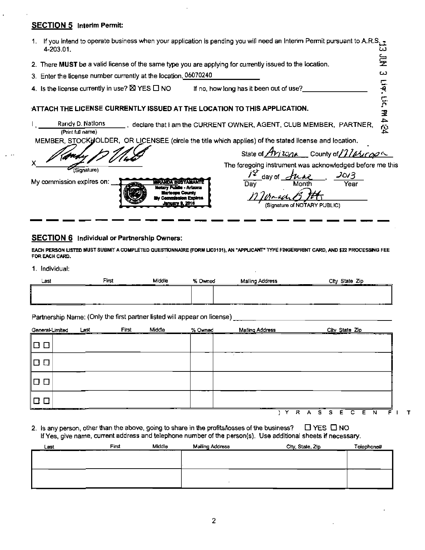#### **SECTION 5** Interim Permit:

| 1. If you intend to operate business when your application is pending you will need an Intenm Permit pursuant to A.R.S.<br>4-203.01. | ω                                                                             |
|--------------------------------------------------------------------------------------------------------------------------------------|-------------------------------------------------------------------------------|
| 2. There MUST be a valid license of the same type you are applying for currently issued to the location.                             | 륯                                                                             |
| 3. Enter the license number currently at the location, 06070240                                                                      | دیا                                                                           |
| 4. Is the license currently in use? $\boxtimes$ YES $\Box$ NO                                                                        | 들<br>If no, how long has it been out of use?                                  |
| ATTACH THE LICENSE CURRENTLY ISSUED AT THE LOCATION TO THIS APPLICATION.                                                             | <u>يٰ</u><br>د                                                                |
| Randy D. Nations<br>(Print full name)                                                                                                | m4 신간<br>_, declare that I am the CURRENT OWNER, AGENT, CLUB MEMBER, PARTNER, |
| MEMBER, STOCKHOLDER, OR LICENSEE (circle the title which applies) of the stated license and location.                                |                                                                               |
|                                                                                                                                      | State of <i>Avizone</i> county of <i>11 alicops</i>                           |
| (Signature)                                                                                                                          | The foregoing instrument was acknowledged before me this                      |
| My commission expires on:<br>WANDA BIISTAMAN<br>Notary Public - Arizona<br><b>Lenuary 9, 2016</b>                                    | J0/3<br>day of $\geq$<br>Month<br>Day<br>Year<br>(Cionoture of NOTADV DHRLIC) |

(Signature of NOTARY PUBLIC)

#### **SECTION 6** Individual or Partnership Owners:

EACH PERSON LISTED MUST SUBMIT A COMPLETED QUESTIONNAIRE (FORM LIC0101), AN "APPLICANT" TYPE FINGERPRINT CARD, AND \$22 PROCESSING FEE FOR EACH CARD.

<u> January 9, 2016</u>

#### 1. Individual:

| <b>Las</b> | First | Middle<br>____<br>. | ി <b>med</b> | <b>Aross</b><br>ರಾ<br>$14.6 -$ | Сħ<br>Zio<br>____<br>______                          |
|------------|-------|---------------------|--------------|--------------------------------|------------------------------------------------------|
|            |       |                     |              |                                |                                                      |
|            |       |                     |              |                                |                                                      |
|            | __    |                     | --<br>--     | _____<br>___<br>_              | $\overline{\phantom{a}}$<br>$\overline{\phantom{a}}$ |

Partnership Name: (Only the first partner listed will appear on license)

| General-Limited                                    | Last | First<br>$\cdots$ | Middle | % Owned<br>$-$ | Mailing Address | City State Zip<br>--<br>--<br>. .     |
|----------------------------------------------------|------|-------------------|--------|----------------|-----------------|---------------------------------------|
| $\Box$<br>$\Box$                                   |      |                   |        |                |                 |                                       |
|                                                    |      |                   |        |                |                 |                                       |
|                                                    |      |                   |        |                |                 |                                       |
| المستردع والمستنصف والمتواصل والمتعادلة المتواصلات |      |                   |        |                | _____           |                                       |
|                                                    |      |                   |        |                | R               | Е<br>S<br>s<br>C.<br>E<br>N<br>Е<br>Α |

2. Is any person, other than the above, going to share in the profits/losses of the business?  $\Box$  YES  $\Box$  NO If Yes, give name, current address and telephone number of the person(s). Use additional sheets if necessary.

| Last | First | Middle | Mailing Address | City, State, Zip | Telephone# |
|------|-------|--------|-----------------|------------------|------------|
|      |       |        |                 |                  |            |
|      |       |        |                 |                  |            |
|      |       |        |                 |                  |            |
|      |       |        |                 |                  |            |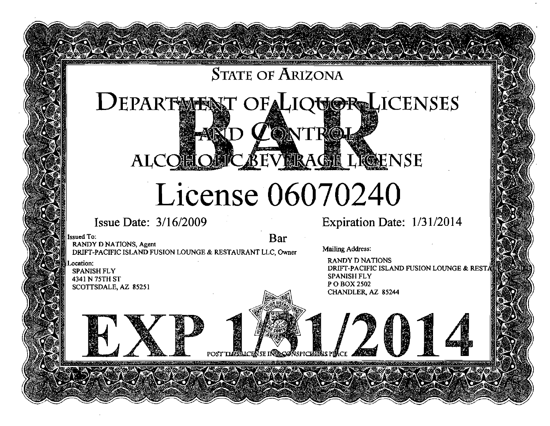## STATE OF ARIZONA

## DEPARTMENT OF LIQUOR LICENSES **LONTROI** ALCOHOLIC BEVIRAGIL LIGENSE

## **License 06070240**

POST THESLICENSE IN ACONSPIC

## Issue Date: 3/16/2009

Issued To: **Bar Bar Islam Bar Islam Bar Bar Bar** DRIFT-PACIFIC ISLAND FUSION LOUNGE & RESTAURANT LLC, Owner

Location: SPANISH FLY 4341 N75TH ST SCOTTSDALE, AZ 85251 Expiration Date: 1/31/2014

Mailing Address:

RANDY D NATIONS DRIFT-PACIFIC ISLAND FUSION LOUNGE & REST. SPANISH FLY P O BOX 2502 CHANDLER, AZ 85244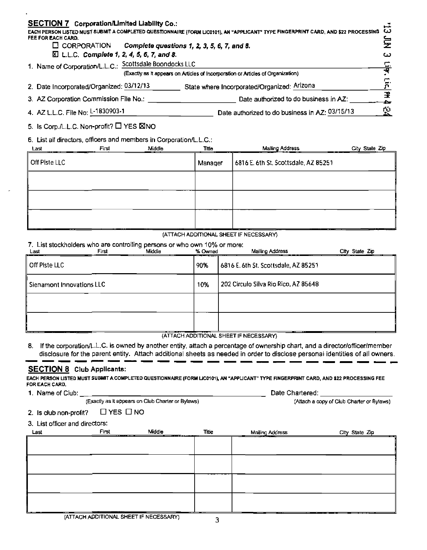| <b>SECTION 7 Corporation/Limited Liability Co.:</b><br>EACH PERSON LISTED MUST SUBMIT A COMPLETED QUESTIONNAIRE (FORM LIC0101), AN "APPLICANT" TYPE FINGERPRINT CARD, AND \$22 PROCESSING<br>FEE FOR EACH CARD. |                                                                                         |           |  |  |  |
|-----------------------------------------------------------------------------------------------------------------------------------------------------------------------------------------------------------------|-----------------------------------------------------------------------------------------|-----------|--|--|--|
|                                                                                                                                                                                                                 | $\Box$ CORPORATION<br>Complete questions 1, 2, 3, 5, 6, 7, and 8.                       | 写         |  |  |  |
|                                                                                                                                                                                                                 | $\Sigma$ L.L.C. Complete 1, 2, 4, 5, 6, 7, and 8.                                       | ω         |  |  |  |
|                                                                                                                                                                                                                 | 1. Name of Corporation/L.L.C.: Scottsdale Boondocks LLC                                 | <u>Е.</u> |  |  |  |
|                                                                                                                                                                                                                 | (Exactly as It appears on Articles of Incorporation or Articles of Organization)        |           |  |  |  |
|                                                                                                                                                                                                                 | State where Incorporated/Organized: Arlzona<br>2. Date Incorporated/Organized: 03/12/13 |           |  |  |  |
|                                                                                                                                                                                                                 | 3. AZ Corporation Commission File No.:<br>Date authorized to do business in AZ:         | 뫂         |  |  |  |
|                                                                                                                                                                                                                 | 4. AZ L.L.C. File No: L-1830903-1<br>Date authorized to do business in AZ: 03/15/13     |           |  |  |  |

5. Is Corp./L.L.C. Non-profit?  $\Box$  YES  $\boxtimes$ NO

6. List all directors, officers and members in Corporation/LL.C.

| Last          | First | Middle | <b>Thie</b> | <b>Malling Address</b><br>__<br>---  | City State Zip |
|---------------|-------|--------|-------------|--------------------------------------|----------------|
| Off Piste LLC |       |        | Manager     | 6816 E. 6th St. Scottsdale, AZ 85251 |                |
|               |       |        |             |                                      |                |
|               |       |        |             |                                      |                |
|               |       |        |             |                                      |                |

#### (ATTACH ADDITIONAL SHEET IF NECESSARY)

#### 7. List stockholders who are controlling persons or who own 10% or more:

| Last          | First                     | Middle | % Owned | Mailing Address                      | City State Zip |
|---------------|---------------------------|--------|---------|--------------------------------------|----------------|
| Off Piste LLC |                           |        | 90%     | 6816 E. 6th St. Scottsdale, AZ 85251 |                |
|               | Sienamont Innovations LLC |        | 10%     | 202 Circulo Silva Rio Rico, AZ 85648 |                |
|               |                           |        |         |                                      |                |
|               |                           |        |         |                                      |                |

(ATTACH ADDITIONAL SHEET IF NECESSARY)

8. If the corporation/L.L.C. is owned by another entity, attach a percentage of ownership chart, and a director/officer/member disclosure for the parent entity. Attach additional sheets as needed in order to disclose personal identities of all owners.

#### SECTION 8 Club Applicants:

EACH PERSON LISTED MUST SUBMIT A COMPLETED QUESTIONNAIRE (FORM LIC0101), AN "APPLICANT" TYPE FINGERPRINT CARD, AND \$22 PROCESSING FEE FOR EACH CARD. FOR CARD.

1. Name of Club:

(Exactly as It appears on Club Charter or Bylaws)

Date Chartered:

(Attach a copy of Club Charter or Bylaws)

#### 2. Is club non-profit?  $\Box$  YES  $\Box$  NO

3. List officer and directors:

| Last         | First<br>-------- | Middle<br>_____________ | <b>Title</b> | Mailing Address | City State Zip |
|--------------|-------------------|-------------------------|--------------|-----------------|----------------|
|              |                   |                         |              |                 |                |
|              |                   |                         |              |                 |                |
|              |                   |                         |              |                 |                |
|              |                   |                         |              |                 |                |
|              |                   |                         |              |                 |                |
|              |                   |                         |              |                 |                |
|              |                   |                         |              |                 |                |
|              |                   |                         |              |                 |                |
| $\sim$<br>__ | ---               |                         | _____        |                 |                |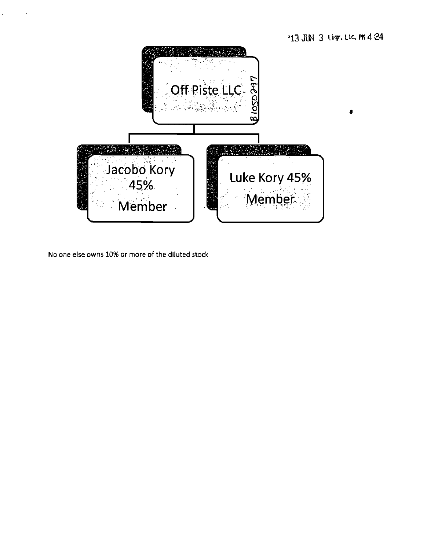

No one else owns 10% or more of the diluted stock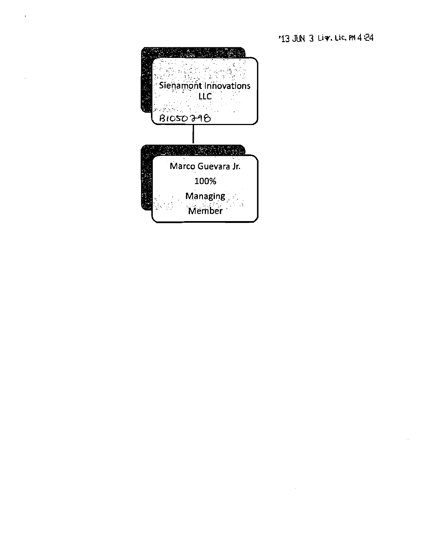*'13 JIW 3 Ur. Lie, PM 4 24* 

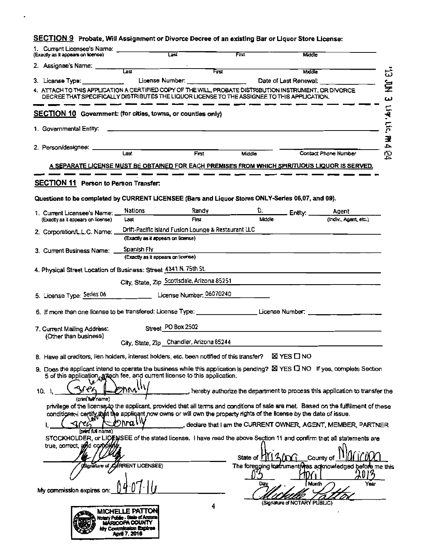## SECTION 9 Probate, Will Assignment or Divorce Decree of an existing Bar or Liquor Store License:

| 1. Current Licensee's Name:<br>(Exactly as it appears on license)                                       | Last                                                                                                                                                                                                                      | Frst  |            | <b>Middle</b>                   |                                                                               |
|---------------------------------------------------------------------------------------------------------|---------------------------------------------------------------------------------------------------------------------------------------------------------------------------------------------------------------------------|-------|------------|---------------------------------|-------------------------------------------------------------------------------|
| 2. Assignee's Name: ___                                                                                 | Last                                                                                                                                                                                                                      | First |            |                                 |                                                                               |
| 3. License Type:                                                                                        | License Number:                                                                                                                                                                                                           |       |            | Middle<br>Date of Last Renewal: | చ్                                                                            |
| 4. ATTACH TO THIS APPLICATION A CERTIFIED COPY OF THE WILL, PROBATE DISTRIBUTION INSTRUMENT, OR DIVORCE |                                                                                                                                                                                                                           |       |            |                                 | ş                                                                             |
|                                                                                                         | DECREE THAT SPECIFICALLY DISTRIBUTES THE LIQUOR LICENSE TO THE ASSIGNEE TO THIS APPLICATION.                                                                                                                              |       |            |                                 | ω                                                                             |
| <b>SECTION 10</b> Government: (for cities, towns, or counties only)                                     |                                                                                                                                                                                                                           |       |            |                                 | Liq. Lic.                                                                     |
| 1. Governmental Entity:                                                                                 |                                                                                                                                                                                                                           |       |            |                                 |                                                                               |
|                                                                                                         |                                                                                                                                                                                                                           |       |            |                                 | 王                                                                             |
| 2. Person/designee:                                                                                     | Last                                                                                                                                                                                                                      | First | Middle     |                                 | $\overline{\phantom{a}}$<br>Contact Phone Number                              |
|                                                                                                         | A SEPARATE LICENSE MUST BE OBTAINED FOR EACH PREMISES FROM WHICH SPIRITUOUS LIQUOR IS SERVED.                                                                                                                             |       |            |                                 | 오                                                                             |
|                                                                                                         |                                                                                                                                                                                                                           |       |            |                                 |                                                                               |
| SECTION 11 Person to Person Transfer:                                                                   |                                                                                                                                                                                                                           |       |            |                                 |                                                                               |
|                                                                                                         | Questions to be completed by CURRENT LICENSEE (Bars and Liquor Stores ONLY-Series 06,07, and 09).                                                                                                                         |       |            |                                 |                                                                               |
|                                                                                                         | Nations                                                                                                                                                                                                                   | Randy |            |                                 |                                                                               |
| 1. Current Licensee's Name:<br>(Exactly as it appears on license)                                       | Last                                                                                                                                                                                                                      | First | Middle     | $Entx =$                        | Agent<br>(indiv., Agent, etc.)                                                |
| 2. Corporation/L.L.C. Name:                                                                             | Drift-Pacific Island Fusion Lounge & Restaurant LLC                                                                                                                                                                       |       |            |                                 |                                                                               |
|                                                                                                         | (Exactly as it appears on license)                                                                                                                                                                                        |       |            |                                 |                                                                               |
| 3. Current Business Name:                                                                               | Spanish Fly                                                                                                                                                                                                               |       |            |                                 |                                                                               |
|                                                                                                         | (Exactly as it appears on license)                                                                                                                                                                                        |       |            |                                 |                                                                               |
|                                                                                                         | 4. Physical Street Location of Business: Street 4341 N. 75th St.                                                                                                                                                          |       |            |                                 |                                                                               |
|                                                                                                         | City, State, Zip Scottsdale, Arizona 85251                                                                                                                                                                                |       |            |                                 |                                                                               |
| 5. License Type: Series 06                                                                              | License Number, 06070240                                                                                                                                                                                                  |       |            |                                 |                                                                               |
|                                                                                                         | 6. If more than one license to be transfered: License Type: ____________________License Number:                                                                                                                           |       |            |                                 |                                                                               |
|                                                                                                         |                                                                                                                                                                                                                           |       |            |                                 |                                                                               |
| 7. Current Mailing Address:                                                                             | Street PO Box 2502                                                                                                                                                                                                        |       |            |                                 |                                                                               |
| (Other than business)                                                                                   | City, State, Zip_Chandler, Arizona 85244                                                                                                                                                                                  |       |            |                                 |                                                                               |
|                                                                                                         | 8. Have all creditors, lien holders, interest holders, etc. been notified of this transfer?                                                                                                                               |       |            | <b>X</b> YES <b>I</b> NO        |                                                                               |
|                                                                                                         |                                                                                                                                                                                                                           |       |            |                                 |                                                                               |
|                                                                                                         | 9. Does the applicant intend to operate the business while this application is pending? $\Sigma$ YES $\square$ NO If yes, complete Section<br>5 of this application, attach fee, and current license to this application. |       |            |                                 |                                                                               |
| \ና የራ<br>10.                                                                                            | ከՒላ                                                                                                                                                                                                                       |       |            |                                 | , hereby authorize the department to process this application to transfer the |
| (print hell name)                                                                                       |                                                                                                                                                                                                                           |       |            |                                 |                                                                               |
|                                                                                                         | privilege of the license to the applicant, provided that all terms and conditions of sale are met. Based on the fulfillment of these                                                                                      |       |            |                                 |                                                                               |
| arca                                                                                                    | conditions, certify, that the applicant now owns or will own the property rights of the license by the date of issue.<br>∕Dhra∖                                                                                           |       |            |                                 |                                                                               |
| (brint full name)                                                                                       |                                                                                                                                                                                                                           |       |            |                                 | declare that I am the CURRENT OWNER, AGENT, MEMBER, PARTNER                   |
| true, correct, and comphists                                                                            | STOCKHOLDER, or LICENSEE of the stated license. I have read the above Section 11 and confirm that all statements are                                                                                                      |       |            |                                 |                                                                               |
|                                                                                                         |                                                                                                                                                                                                                           |       |            |                                 |                                                                               |
|                                                                                                         | (Signature of CURRENT LICENSEE)                                                                                                                                                                                           |       | State of I | $A\sim$                         | County of<br>The foregoing instrument was advnowledged before me this         |
|                                                                                                         |                                                                                                                                                                                                                           |       |            |                                 |                                                                               |
| My commission expires on                                                                                |                                                                                                                                                                                                                           |       | Day        | Month                           | Year                                                                          |
|                                                                                                         |                                                                                                                                                                                                                           |       |            |                                 |                                                                               |
|                                                                                                         | MICHELLE PATTON                                                                                                                                                                                                           | 4     |            | (Signature of NOTARY PUBLIC)    |                                                                               |
|                                                                                                         | Notary Public - State of Arzona<br>MÁRICOPA COUNTY                                                                                                                                                                        |       |            |                                 |                                                                               |
|                                                                                                         | My Commission Expires<br>Andi 7, 2016                                                                                                                                                                                     |       |            |                                 |                                                                               |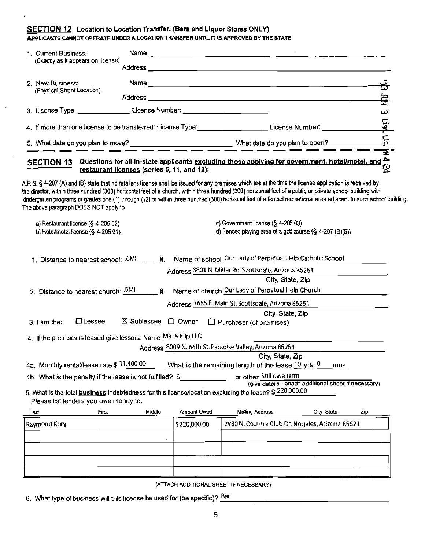#### **SECTION 12** Location to Location Transfer: (Bars and Liquor Stores ONLY) APPLICANTS CANNOT OPERATE UNDER A LOCATION TRANSFER UNTIL IT IS APPROVED BY THE STATE

| 1. Current Business:                                                                                             |                                       |             |              |                                                                                                                                                                                    |                                                                                                                                                                                                                                                                                                                                                                                                                                                                                                                                                                                                                                                                                             |     |
|------------------------------------------------------------------------------------------------------------------|---------------------------------------|-------------|--------------|------------------------------------------------------------------------------------------------------------------------------------------------------------------------------------|---------------------------------------------------------------------------------------------------------------------------------------------------------------------------------------------------------------------------------------------------------------------------------------------------------------------------------------------------------------------------------------------------------------------------------------------------------------------------------------------------------------------------------------------------------------------------------------------------------------------------------------------------------------------------------------------|-----|
|                                                                                                                  | (Exactly as it appears on license)    |             |              |                                                                                                                                                                                    |                                                                                                                                                                                                                                                                                                                                                                                                                                                                                                                                                                                                                                                                                             |     |
| 2. New Business:                                                                                                 |                                       |             |              |                                                                                                                                                                                    |                                                                                                                                                                                                                                                                                                                                                                                                                                                                                                                                                                                                                                                                                             |     |
| (Physical Street Location)                                                                                       |                                       |             |              |                                                                                                                                                                                    |                                                                                                                                                                                                                                                                                                                                                                                                                                                                                                                                                                                                                                                                                             | 钴   |
|                                                                                                                  |                                       |             |              |                                                                                                                                                                                    |                                                                                                                                                                                                                                                                                                                                                                                                                                                                                                                                                                                                                                                                                             | Ę   |
|                                                                                                                  |                                       |             |              |                                                                                                                                                                                    |                                                                                                                                                                                                                                                                                                                                                                                                                                                                                                                                                                                                                                                                                             | سا  |
| 4. If more than one license to be transferred: License Type: Lacencom License Number: 1986. [19] License Number: |                                       |             |              | Liqt Lic M                                                                                                                                                                         |                                                                                                                                                                                                                                                                                                                                                                                                                                                                                                                                                                                                                                                                                             |     |
|                                                                                                                  |                                       |             |              |                                                                                                                                                                                    |                                                                                                                                                                                                                                                                                                                                                                                                                                                                                                                                                                                                                                                                                             |     |
| The above paragraph DOES NOT apply to:                                                                           |                                       |             |              |                                                                                                                                                                                    | GECTION 13 Questions for all in-state applicants <u>excluding those applying for government. hotel/motel, and po</u><br>The discussion of the restaurant licenses (series 5, 11, and 12):<br>A.R.S. § 4-207 (A) and (B) state that no retailer's license shall be issued for any premises which are at the time the license application is received by<br>the director, within three hundred (300) horizontal feet of a church, within three hundred (300) horizontal feet of a public or private school building with<br>kindergarten programs or grades one (1) through (12) or within three hundred (300) horizonal feet of a fenced recreational area adjacent to such school building. |     |
|                                                                                                                  | a) Restaurant license (§ 4-205.02)    |             |              | c) Government license $(S_4 - 205.03)$                                                                                                                                             |                                                                                                                                                                                                                                                                                                                                                                                                                                                                                                                                                                                                                                                                                             |     |
|                                                                                                                  | b) Hotel/motel license $(§ 4-205.01)$ |             |              | d) Fenced playing area of a golf course (§ 4-207 (B)(5))                                                                                                                           |                                                                                                                                                                                                                                                                                                                                                                                                                                                                                                                                                                                                                                                                                             |     |
|                                                                                                                  | 2. Distance to nearest church: .5MI   |             |              | Address 3801 N. Miller Rd. Scottsdale, Arizona 85251<br>Name of church Our Lady of Perpetual Help Church<br>Address 7655 E. Main St. Scottsdale, Arizona 85251<br>City, State, Zip | City, State, Zip                                                                                                                                                                                                                                                                                                                                                                                                                                                                                                                                                                                                                                                                            |     |
| $3.1$ am the:                                                                                                    | $\Box$ Lessee                         | ⊠ Sublessee | $\Box$ Owner | $\Box$ Purchaser (of premises)                                                                                                                                                     |                                                                                                                                                                                                                                                                                                                                                                                                                                                                                                                                                                                                                                                                                             |     |
| 4. If the premises is leased give lessors: Name Mal & Flip LLC                                                   |                                       |             |              |                                                                                                                                                                                    |                                                                                                                                                                                                                                                                                                                                                                                                                                                                                                                                                                                                                                                                                             |     |
|                                                                                                                  |                                       |             |              | Address 8009 N. 66th St. Paradise Valley, Arizona 85254                                                                                                                            |                                                                                                                                                                                                                                                                                                                                                                                                                                                                                                                                                                                                                                                                                             |     |
|                                                                                                                  |                                       |             |              | City, State, Zip<br>4a. Monthly rental/lease rate $$^{11,400.00}$ What is the remaining length of the lease $^{10}$ yrs. 0                                                         |                                                                                                                                                                                                                                                                                                                                                                                                                                                                                                                                                                                                                                                                                             |     |
| 4b. What is the penalty if the lease is not fulfilled? \$                                                        |                                       |             |              | or other Still owe term                                                                                                                                                            | mos.                                                                                                                                                                                                                                                                                                                                                                                                                                                                                                                                                                                                                                                                                        |     |
|                                                                                                                  | Please list lenders you owe money to. |             |              | 5. What is the total <b>business</b> indebtedness for this license/location excluding the lease? \$ 220,000.00                                                                     | (give details - attach additional sheet if necessary)                                                                                                                                                                                                                                                                                                                                                                                                                                                                                                                                                                                                                                       |     |
| Last                                                                                                             | First                                 | Middle      | Amount Owed  | Mailing Address                                                                                                                                                                    | City State                                                                                                                                                                                                                                                                                                                                                                                                                                                                                                                                                                                                                                                                                  | Zip |
| Raymond Kory                                                                                                     |                                       |             | \$220,000.00 |                                                                                                                                                                                    | 2930 N. Country Club Dr. Nogales, Arizona 85621                                                                                                                                                                                                                                                                                                                                                                                                                                                                                                                                                                                                                                             |     |
|                                                                                                                  |                                       |             |              |                                                                                                                                                                                    |                                                                                                                                                                                                                                                                                                                                                                                                                                                                                                                                                                                                                                                                                             |     |
|                                                                                                                  |                                       |             |              |                                                                                                                                                                                    |                                                                                                                                                                                                                                                                                                                                                                                                                                                                                                                                                                                                                                                                                             |     |
|                                                                                                                  |                                       |             |              |                                                                                                                                                                                    |                                                                                                                                                                                                                                                                                                                                                                                                                                                                                                                                                                                                                                                                                             |     |
|                                                                                                                  |                                       |             |              |                                                                                                                                                                                    |                                                                                                                                                                                                                                                                                                                                                                                                                                                                                                                                                                                                                                                                                             |     |

(ATTACH ADDITIONAL SHEET IF NECESSARY)

6. What type of business will this license be used for (be specific)? Bar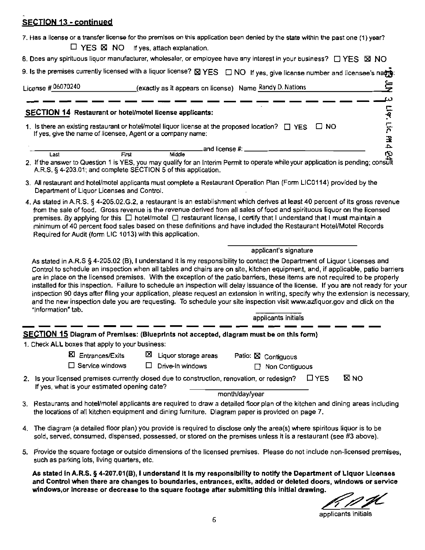## **SECTION 13 - continued**

| 7. Has a license or a transfer license for the premises on this application been denied by the state within the past one (1) year?<br>$\Box$ YES $\boxtimes$ NO if yes, attach explanation.                                                                                                                                                                                                                                                                                                                                                                                                                                                                                                                                                                                                                              |  |  |  |  |  |
|--------------------------------------------------------------------------------------------------------------------------------------------------------------------------------------------------------------------------------------------------------------------------------------------------------------------------------------------------------------------------------------------------------------------------------------------------------------------------------------------------------------------------------------------------------------------------------------------------------------------------------------------------------------------------------------------------------------------------------------------------------------------------------------------------------------------------|--|--|--|--|--|
| 8. Does any spirituous liquor manufacturer, wholesaler, or employee have any interest in your business? □ YES ⊠ NO                                                                                                                                                                                                                                                                                                                                                                                                                                                                                                                                                                                                                                                                                                       |  |  |  |  |  |
| 9. Is the premises currently licensed with a liquor license? <b>EX YES</b> DNO If yes, give license number and licensee's natrest                                                                                                                                                                                                                                                                                                                                                                                                                                                                                                                                                                                                                                                                                        |  |  |  |  |  |
| 亭                                                                                                                                                                                                                                                                                                                                                                                                                                                                                                                                                                                                                                                                                                                                                                                                                        |  |  |  |  |  |
| License # 06070240<br>exactly as it appears on license) Name Randy D. Nations                                                                                                                                                                                                                                                                                                                                                                                                                                                                                                                                                                                                                                                                                                                                            |  |  |  |  |  |
| ω                                                                                                                                                                                                                                                                                                                                                                                                                                                                                                                                                                                                                                                                                                                                                                                                                        |  |  |  |  |  |
| SECTION 14 Restaurant or hotel/motel license applicants:                                                                                                                                                                                                                                                                                                                                                                                                                                                                                                                                                                                                                                                                                                                                                                 |  |  |  |  |  |
| Liq. Lic. PR 4<br>1. Is there an existing restaurant or hotel/motel liquor license at the proposed location? $\Box$ YES $\Box$ NO<br>If yes, give the name of licensee, Agent or a company name:                                                                                                                                                                                                                                                                                                                                                                                                                                                                                                                                                                                                                         |  |  |  |  |  |
| .and license #: _                                                                                                                                                                                                                                                                                                                                                                                                                                                                                                                                                                                                                                                                                                                                                                                                        |  |  |  |  |  |
| ήú<br>Middle<br>First<br>Last<br>2. If the answer to Question 1 is YES, you may qualify for an Interim Permit to operate while your application is pending; consult<br>A.R.S. § 4-203.01; and complete SECTION 5 of this application.                                                                                                                                                                                                                                                                                                                                                                                                                                                                                                                                                                                    |  |  |  |  |  |
| 3. All restaurant and hotel/motel applicants must complete a Restaurant Operation Plan (Form LIC0114) provided by the<br>Department of Liquor Licenses and Control.                                                                                                                                                                                                                                                                                                                                                                                                                                                                                                                                                                                                                                                      |  |  |  |  |  |
| 4. As stated in A.R.S. § 4-205.02.G.2, a restaurant is an establishment which derives at least 40 percent of its gross revenue<br>from the sale of food. Gross revenue is the revenue derived from all sales of food and spirituous liquor on the licensed<br>premises. By applying for this $\Box$ hotel/motel $\Box$ restaurant license, I certify that I understand that I must maintain a<br>minimum of 40 percent food sales based on these definitions and have included the Restaurant Hotel/Motel Records<br>Required for Audit (form LIC 1013) with this application.                                                                                                                                                                                                                                           |  |  |  |  |  |
| applicant's signature                                                                                                                                                                                                                                                                                                                                                                                                                                                                                                                                                                                                                                                                                                                                                                                                    |  |  |  |  |  |
| As stated in A.R.S § 4-205.02 (B), I understand it is my responsibility to contact the Department of Liquor Licenses and<br>Control to schedule an inspection when all tables and chairs are on site, kitchen equipment, and, if applicable, patio barriers<br>are in place on the licensed premises. With the exception of the patio barriers, these items are not required to be properly<br>installed for this inspection. Failure to schedule an inspection will delay issuance of the license. If you are not ready for your<br>inspection 90 days after filing your application, please request an extension in writing, specify why the extension is necessary,<br>and the new inspection date you are requesting. To schedule your site inspection visit www.azliquor.gov and click on the<br>"Information" tab. |  |  |  |  |  |
| applicants initials                                                                                                                                                                                                                                                                                                                                                                                                                                                                                                                                                                                                                                                                                                                                                                                                      |  |  |  |  |  |
| SECTION 15 Diagram of Premises: (Blueprints not accepted, diagram must be on this form)                                                                                                                                                                                                                                                                                                                                                                                                                                                                                                                                                                                                                                                                                                                                  |  |  |  |  |  |
| 1. Check ALL boxes that apply to your business:                                                                                                                                                                                                                                                                                                                                                                                                                                                                                                                                                                                                                                                                                                                                                                          |  |  |  |  |  |
| <b>区</b> Entrances/Exits<br>⊠<br>Liquor storage areas<br>Patio: ⊠ Contiguous                                                                                                                                                                                                                                                                                                                                                                                                                                                                                                                                                                                                                                                                                                                                             |  |  |  |  |  |
| $\Box$ Service windows<br>□<br>Drive-in windows<br>Non Contiguous                                                                                                                                                                                                                                                                                                                                                                                                                                                                                                                                                                                                                                                                                                                                                        |  |  |  |  |  |
| <b>X</b> NO<br>$\Box$ YES<br>2. Is your licensed premises currently closed due to construction, renovation, or redesign?<br>If yes, what is your estimated opening date?                                                                                                                                                                                                                                                                                                                                                                                                                                                                                                                                                                                                                                                 |  |  |  |  |  |
| month/day/year                                                                                                                                                                                                                                                                                                                                                                                                                                                                                                                                                                                                                                                                                                                                                                                                           |  |  |  |  |  |
| 3. Restaurants and hotel/motel applicants are required to draw a detailed floor plan of the kitchen and dining areas including<br>the locations of all kitchen equipment and dining furniture. Diagram paper is provided on page 7.                                                                                                                                                                                                                                                                                                                                                                                                                                                                                                                                                                                      |  |  |  |  |  |
| 4. The diagram (a detailed floor plan) you provide is required to disclose only the area(s) where spintous liquor is to be<br>sold, served, consumed, dispensed, possessed, or stored on the premises unless it is a restaurant (see #3 above).                                                                                                                                                                                                                                                                                                                                                                                                                                                                                                                                                                          |  |  |  |  |  |
| 5. Provide the square footage or outside dimensions of the licensed premises. Please do not include non-licensed premises,<br>such as parking lots, living quarters, etc.                                                                                                                                                                                                                                                                                                                                                                                                                                                                                                                                                                                                                                                |  |  |  |  |  |
| As stated in A.R.S. § 4-207.01(B), I understand it is my responsibility to notify the Department of Liquor Licenses<br>and Control when there are changes to boundaries, entrances, exits, added or deleted doors, windows or service<br>windows, or increase or decrease to the square footage after submitting this initial drawing.                                                                                                                                                                                                                                                                                                                                                                                                                                                                                   |  |  |  |  |  |

applicants initials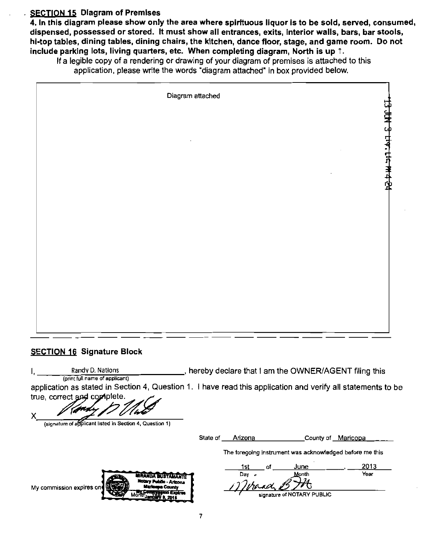#### **SECTION 15 Diagram of Premises**

4. In this diagram please show only the area where spirituous liquor is to be sold, served, consumed, dispensed, possessed or stored. It must show all entrances, exits, Interior walls, bars, bar stools, hi-top tables, dining tables, dining chairs, the kitchen, dance floor, stage, and game room. Do not include parking lots, living quarters, etc. When completing diagram, North is up 1.

If a legible copy of a rendering or drawing of your diagram of premises is attached to this application, please write the words "diagram attached" in box provided below.

| Diagram attached |                            |
|------------------|----------------------------|
|                  | 13 JUN 3 LIV. LIC. PM 4 24 |
|                  |                            |
|                  |                            |
|                  |                            |
|                  |                            |
|                  |                            |

#### **SECTION 16 Signature Block**

I, Randy D. Nations Randy D. Nations hereby declare that I am the OWNER/AGENT filing this (print full name of applicant) application as stated in Section 4, Question 1. I have read this application and verify all statements to be

true, correct and complete.

(signature of applicant listed in Section 4, Question 1)

State of Arizona **County of Maricopa** 

The foregoing instrument was acknowledged before me this

**My commission expires o Notary Public - Arizona<br>Iteriorpa County 0\*** 3\* S

<u>1st of June 1st 2013</u> Day **Year** 

' sianature of signature of NOTARY PUBLIC